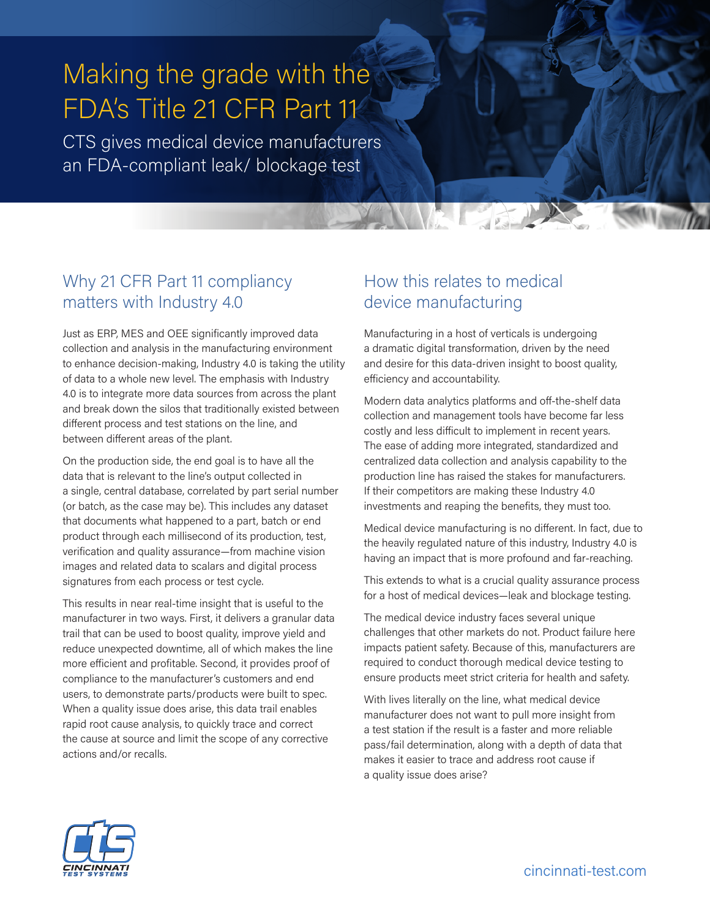# Making the grade with the FDA's Title 21 CFR Part 11

CTS gives medical device manufacturers an FDA-compliant leak/ blockage test

# Why 21 CFR Part 11 compliancy matters with Industry 4.0

Just as ERP, MES and OEE significantly improved data collection and analysis in the manufacturing environment to enhance decision-making, Industry 4.0 is taking the utility of data to a whole new level. The emphasis with Industry 4.0 is to integrate more data sources from across the plant and break down the silos that traditionally existed between different process and test stations on the line, and between different areas of the plant.

On the production side, the end goal is to have all the data that is relevant to the line's output collected in a single, central database, correlated by part serial number (or batch, as the case may be). This includes any dataset that documents what happened to a part, batch or end product through each millisecond of its production, test, verification and quality assurance—from machine vision images and related data to scalars and digital process signatures from each process or test cycle.

This results in near real-time insight that is useful to the manufacturer in two ways. First, it delivers a granular data trail that can be used to boost quality, improve yield and reduce unexpected downtime, all of which makes the line more efficient and profitable. Second, it provides proof of compliance to the manufacturer's customers and end users, to demonstrate parts/products were built to spec. When a quality issue does arise, this data trail enables rapid root cause analysis, to quickly trace and correct the cause at source and limit the scope of any corrective actions and/or recalls.

# How this relates to medical device manufacturing

Manufacturing in a host of verticals is undergoing a dramatic digital transformation, driven by the need and desire for this data-driven insight to boost quality, efficiency and accountability.

Modern data analytics platforms and off-the-shelf data collection and management tools have become far less costly and less difficult to implement in recent years. The ease of adding more integrated, standardized and centralized data collection and analysis capability to the production line has raised the stakes for manufacturers. If their competitors are making these Industry 4.0 investments and reaping the benefits, they must too.

Medical device manufacturing is no different. In fact, due to the heavily regulated nature of this industry, Industry 4.0 is having an impact that is more profound and far-reaching.

This extends to what is a crucial quality assurance process for a host of medical devices—leak and blockage testing.

The medical device industry faces several unique challenges that other markets do not. Product failure here impacts patient safety. Because of this, manufacturers are required to conduct thorough medical device testing to ensure products meet strict criteria for health and safety.

With lives literally on the line, what medical device manufacturer does not want to pull more insight from a test station if the result is a faster and more reliable pass/fail determination, along with a depth of data that makes it easier to trace and address root cause if a quality issue does arise?

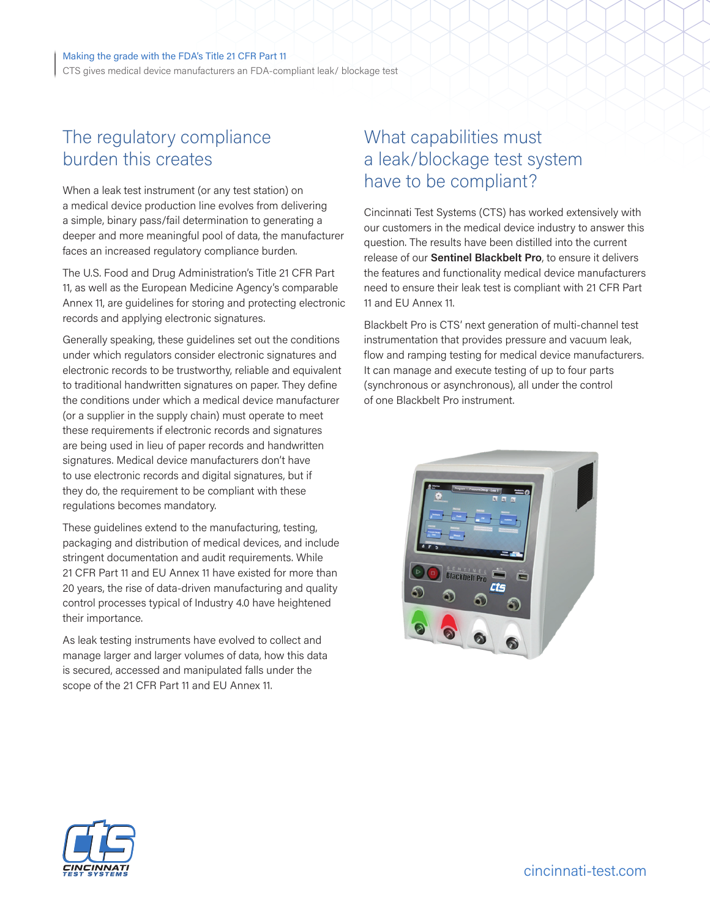#### Making the grade with the FDA's Title 21 CFR Part 11

CTS gives medical device manufacturers an FDA-compliant leak/ blockage test

### The regulatory compliance burden this creates

When a leak test instrument (or any test station) on a medical device production line evolves from delivering a simple, binary pass/fail determination to generating a deeper and more meaningful pool of data, the manufacturer faces an increased regulatory compliance burden.

The U.S. Food and Drug Administration's Title 21 CFR Part 11, as well as the European Medicine Agency's comparable Annex 11, are guidelines for storing and protecting electronic records and applying electronic signatures.

Generally speaking, these guidelines set out the conditions under which regulators consider electronic signatures and electronic records to be trustworthy, reliable and equivalent to traditional handwritten signatures on paper. They define the conditions under which a medical device manufacturer (or a supplier in the supply chain) must operate to meet these requirements if electronic records and signatures are being used in lieu of paper records and handwritten signatures. Medical device manufacturers don't have to use electronic records and digital signatures, but if they do, the requirement to be compliant with these regulations becomes mandatory.

These guidelines extend to the manufacturing, testing, packaging and distribution of medical devices, and include stringent documentation and audit requirements. While 21 CFR Part 11 and EU Annex 11 have existed for more than 20 years, the rise of data-driven manufacturing and quality control processes typical of Industry 4.0 have heightened their importance.

As leak testing instruments have evolved to collect and manage larger and larger volumes of data, how this data is secured, accessed and manipulated falls under the scope of the 21 CFR Part 11 and EU Annex 11.

# What capabilities must a leak/blockage test system have to be compliant?

Cincinnati Test Systems (CTS) has worked extensively with our customers in the medical device industry to answer this question. The results have been distilled into the current release of our **Sentinel Blackbelt Pro**, to ensure it delivers the features and functionality medical device manufacturers need to ensure their leak test is compliant with 21 CFR Part 11 and EU Annex 11.

Blackbelt Pro is CTS' next generation of multi-channel test instrumentation that provides pressure and vacuum leak, flow and ramping testing for medical device manufacturers. It can manage and execute testing of up to four parts (synchronous or asynchronous), all under the control of one Blackbelt Pro instrument.



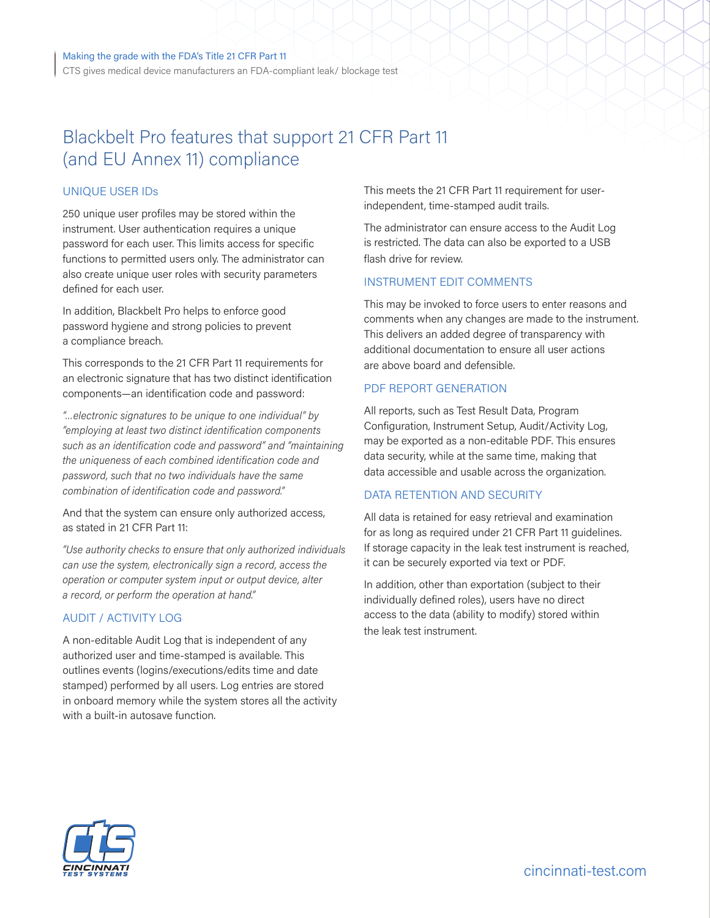CTS gives medical device manufacturers an FDA-compliant leak/ blockage test

# Blackbelt Pro features that support 21 CFR Part 11 (and EU Annex 11) compliance

### UNIQUE USER IDs

250 unique user profiles may be stored within the instrument. User authentication requires a unique password for each user. This limits access for specific functions to permitted users only. The administrator can also create unique user roles with security parameters defined for each user.

In addition, Blackbelt Pro helps to enforce good password hygiene and strong policies to prevent a compliance breach.

This corresponds to the 21 CFR Part 11 requirements for an electronic signature that has two distinct identification components—an identification code and password:

*"…electronic signatures to be unique to one individual" by "employing at least two distinct identification components such as an identification code and password" and "maintaining the uniqueness of each combined identification code and password, such that no two individuals have the same combination of identification code and password."* 

And that the system can ensure only authorized access, as stated in 21 CFR Part 11:

*"Use authority checks to ensure that only authorized individuals can use the system, electronically sign a record, access the operation or computer system input or output device, alter a record, or perform the operation at hand."* 

### AUDIT / ACTIVITY LOG

A non-editable Audit Log that is independent of any authorized user and time-stamped is available. This outlines events (logins/executions/edits time and date stamped) performed by all users. Log entries are stored in onboard memory while the system stores all the activity with a built-in autosave function.

This meets the 21 CFR Part 11 requirement for userindependent, time-stamped audit trails.

The administrator can ensure access to the Audit Log is restricted. The data can also be exported to a USB flash drive for review.

#### INSTRUMENT EDIT COMMENTS

This may be invoked to force users to enter reasons and comments when any changes are made to the instrument. This delivers an added degree of transparency with additional documentation to ensure all user actions are above board and defensible.

### PDF REPORT GENERATION

All reports, such as Test Result Data, Program Configuration, Instrument Setup, Audit/Activity Log, may be exported as a non-editable PDF. This ensures data security, while at the same time, making that data accessible and usable across the organization.

### DATA RETENTION AND SECURITY

All data is retained for easy retrieval and examination for as long as required under 21 CFR Part 11 guidelines. If storage capacity in the leak test instrument is reached, it can be securely exported via text or PDF.

In addition, other than exportation (subject to their individually defined roles), users have no direct access to the data (ability to modify) stored within the leak test instrument.